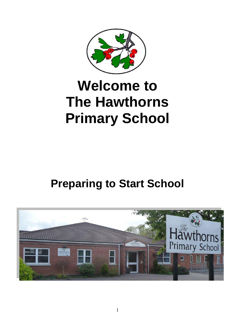

# **Welcome to The Hawthorns Primary School**

# **Preparing to Start School**

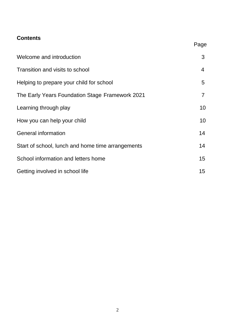# **Contents**

|                                                   | Page            |
|---------------------------------------------------|-----------------|
| Welcome and introduction                          | 3               |
| Transition and visits to school                   | 4               |
| Helping to prepare your child for school          | 5               |
| The Early Years Foundation Stage Framework 2021   | 7               |
| Learning through play                             | 10 <sup>°</sup> |
| How you can help your child                       | 10              |
| <b>General information</b>                        | 14              |
| Start of school, lunch and home time arrangements | 14              |
| School information and letters home               | 15              |
| Getting involved in school life                   | 15              |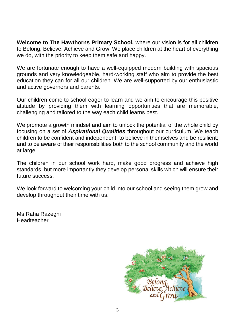**Welcome to The Hawthorns Primary School,** where our vision is for all children to Belong, Believe, Achieve and Grow. We place children at the heart of everything we do, with the priority to keep them safe and happy.

We are fortunate enough to have a well-equipped modern building with spacious grounds and very knowledgeable, hard-working staff who aim to provide the best education they can for all our children. We are well-supported by our enthusiastic and active governors and parents.

Our children come to school eager to learn and we aim to encourage this positive attitude by providing them with learning opportunities that are memorable, challenging and tailored to the way each child learns best.

We promote a growth mindset and aim to unlock the potential of the whole child by focusing on a set of *Aspirational Qualities* throughout our curriculum. We teach children to be confident and independent; to believe in themselves and be resilient; and to be aware of their responsibilities both to the school community and the world at large.

The children in our school work hard, make good progress and achieve high standards, but more importantly they develop personal skills which will ensure their future success.

We look forward to welcoming your child into our school and seeing them grow and develop throughout their time with us.

Ms Raha Razeghi **Headteacher** 

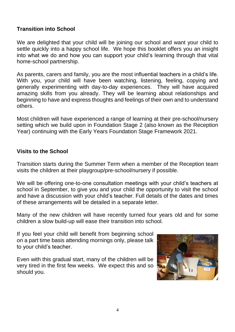# **Transition into School**

We are delighted that your child will be joining our school and want your child to settle quickly into a happy school life. We hope this booklet offers you an insight into what we do and how you can support your child's learning through that vital home-school partnership.

As parents, carers and family, you are the most influential teachers in a child's life. With you, your child will have been watching, listening, feeling, copying and generally experimenting with day-to-day experiences. They will have acquired amazing skills from you already. They will be learning about relationships and beginning to have and express thoughts and feelings of their own and to understand others.

Most children will have experienced a range of learning at their pre-school/nursery setting which we build upon in Foundation Stage 2 (also known as the Reception Year) continuing with the Early Years Foundation Stage Framework 2021.

# **Visits to the School**

Transition starts during the Summer Term when a member of the Reception team visits the children at their playgroup/pre-school/nursery if possible.

We will be offering one-to-one consultation meetings with your child's teachers at school in September, to give you and your child the opportunity to visit the school and have a discussion with your child's teacher. Full details of the dates and times of these arrangements will be detailed in a separate letter.

Many of the new children will have recently turned four years old and for some children a slow build-up will ease their transition into school.

If you feel your child will benefit from beginning school on a part time basis attending mornings only, please talk to your child's teacher.

Even with this gradual start, many of the children will be very tired in the first few weeks. We expect this and so should you.

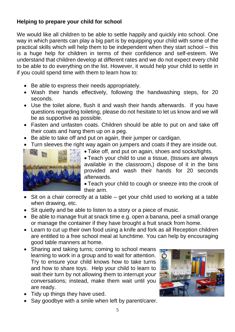# **Helping to prepare your child for school**

We would like all children to be able to settle happily and quickly into school. One way in which parents can play a big part is by equipping your child with some of the practical skills which will help them to be independent when they start school – this is a huge help for children in terms of their confidence and self-esteem. We understand that children develop at different rates and we do not expect every child to be able to do everything on the list. However, it would help your child to settle in if you could spend time with them to learn how to:

- Be able to express their needs appropriately.
- Wash their hands effectively, following the handwashing steps, for 20 seconds.
- Use the toilet alone, flush it and wash their hands afterwards. If you have questions regarding toileting, please do not hesitate to let us know and we will be as supportive as possible.
- Fasten and unfasten coats. Children should be able to put on and take off their coats and hang them up on a peg.
- Be able to take off and put on again, their jumper or cardigan.
- Turn sleeves the right way again on jumpers and coats if they are inside out.





- Teach your child to use a tissue, (tissues are always available in the classroom,) dispose of it in the bins provided and wash their hands for 20 seconds
- Teach your child to cough or sneeze into the crook of their arm.
- Sit on a chair correctly at a table get your child used to working at a table when drawing, etc.
- Sit quietly and be able to listen to a story or a piece of music.
- Be able to manage fruit at snack time e.g. open a banana, peel a small orange or manage the container if they have brought a fruit snack from home.
- Learn to cut up their own food using a knife and fork as all Reception children are entitled to a free school meal at lunchtime. You can help by encouraging good table manners at home.
- Sharing and taking turns; coming to school means learning to work in a group and to wait for attention. Try to ensure your child knows how to take turns and how to share toys. Help your child to learn to wait their turn by not allowing them to interrupt *your* conversations; instead, make them wait until you are ready.
- Tidy up things they have used.
- Say goodbye with a smile when left by parent/carer.

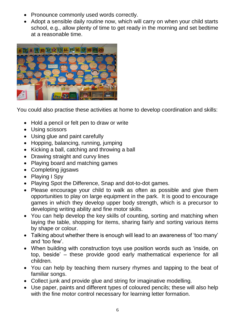- Pronounce commonly used words correctly.
- Adopt a sensible daily routine now, which will carry on when your child starts school, e.g., allow plenty of time to get ready in the morning and set bedtime at a reasonable time.



You could also practise these activities at home to develop coordination and skills:

- Hold a pencil or felt pen to draw or write
- Using scissors
- Using glue and paint carefully
- Hopping, balancing, running, jumping
- Kicking a ball, catching and throwing a ball
- Drawing straight and curvy lines
- Playing board and matching games
- Completing jigsaws
- Playing I Spy
- Playing Spot the Difference, Snap and dot-to-dot games.
- Please encourage your child to walk as often as possible and give them opportunities to play on large equipment in the park. It is good to encourage games in which they develop upper body strength, which is a precursor to developing writing ability and fine motor skills.
- You can help develop the key skills of counting, sorting and matching when laying the table, shopping for items, sharing fairly and sorting various items by shape or colour.
- Talking about whether there is enough will lead to an awareness of 'too many' and 'too few'.
- When building with construction toys use position words such as 'inside, on top, beside' – these provide good early mathematical experience for all children.
- You can help by teaching them nursery rhymes and tapping to the beat of familiar songs.
- Collect junk and provide glue and string for imaginative modelling.
- Use paper, paints and different types of coloured pencils; these will also help with the fine motor control necessary for learning letter formation.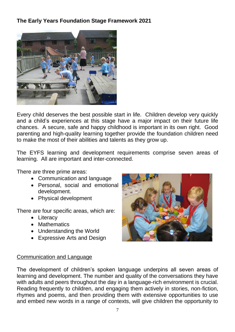# **The Early Years Foundation Stage Framework 2021**



Every child deserves the best possible start in life. Children develop very quickly and a child's experiences at this stage have a major impact on their future life chances. A secure, safe and happy childhood is important in its own right. Good parenting and high-quality learning together provide the foundation children need to make the most of their abilities and talents as they grow up.

The EYFS learning and development requirements comprise seven areas of learning. All are important and inter-connected.

There are three prime areas:

- Communication and language
- Personal, social and emotional development.
- Physical development

There are four specific areas, which are:

- Literacy
- Mathematics
- Understanding the World
- Expressive Arts and Design



#### Communication and Language

The development of children's spoken language underpins all seven areas of learning and development. The number and quality of the conversations they have with adults and peers throughout the day in a language-rich environment is crucial. Reading frequently to children, and engaging them actively in stories, non-fiction, rhymes and poems, and then providing them with extensive opportunities to use and embed new words in a range of contexts, will give children the opportunity to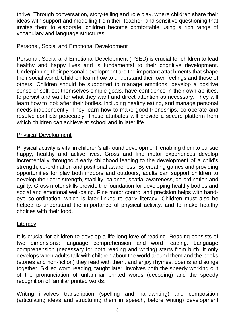thrive. Through conversation, story-telling and role play, where children share their ideas with support and modelling from their teacher, and sensitive questioning that invites them to elaborate, children become comfortable using a rich range of vocabulary and language structures.

# Personal, Social and Emotional Development

Personal, Social and Emotional Development (PSED) is crucial for children to lead healthy and happy lives and is fundamental to their cognitive development. Underpinning their personal development are the important attachments that shape their social world. Children learn how to understand their own feelings and those of others. Children should be supported to manage emotions, develop a positive sense of self, set themselves simple goals, have confidence in their own abilities, to persist and wait for what they want and direct attention as necessary. They will learn how to look after their bodies, including healthy eating, and manage personal needs independently. They learn how to make good friendships, co-operate and resolve conflicts peaceably. These attributes will provide a secure platform from which children can achieve at school and in later life.

#### Physical Development

Physical activity is vital in children's all-round development, enabling them to pursue happy, healthy and active lives. Gross and fine motor experiences develop incrementally throughout early childhood leading to the development of a child's strength, co-ordination and positional awareness. By creating games and providing opportunities for play both indoors and outdoors, adults can support children to develop their core strength, stability, balance, spatial awareness, co-ordination and agility. Gross motor skills provide the foundation for developing healthy bodies and social and emotional well-being. Fine motor control and precision helps with handeye co-ordination, which is later linked to early literacy. Children must also be helped to understand the importance of physical activity, and to make healthy choices with their food.

#### **Literacy**

It is crucial for children to develop a life-long love of reading. Reading consists of two dimensions: language comprehension and word reading. Language comprehension (necessary for both reading and writing) starts from birth. It only develops when adults talk with children about the world around them and the books (stories and non-fiction) they read with them, and enjoy rhymes, poems and songs together. Skilled word reading, taught later, involves both the speedy working out of the pronunciation of unfamiliar printed words (decoding) and the speedy recognition of familiar printed words.

Writing involves transcription (spelling and handwriting) and composition (articulating ideas and structuring them in speech, before writing) development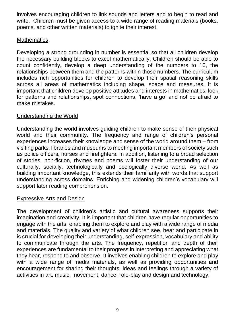involves encouraging children to link sounds and letters and to begin to read and write. Children must be given access to a wide range of reading materials (books, poems, and other written materials) to ignite their interest.

#### **Mathematics**

Developing a strong grounding in number is essential so that all children develop the necessary building blocks to excel mathematically. Children should be able to count confidently, develop a deep understanding of the numbers to 10, the relationships between them and the patterns within those numbers. The curriculum includes rich opportunities for children to develop their spatial reasoning skills across all areas of mathematics including shape, space and measures. It is important that children develop positive attitudes and interests in mathematics, look for patterns and relationships, spot connections, 'have a go' and not be afraid to make mistakes.

# Understanding the World

Understanding the world involves guiding children to make sense of their physical world and their community. The frequency and range of children's personal experiences increases their knowledge and sense of the world around them – from visiting parks, libraries and museums to meeting important members of society such as police officers, nurses and firefighters. In addition, listening to a broad selection of stories, non-fiction, rhymes and poems will foster their understanding of our culturally, socially, technologically and ecologically diverse world. As well as building important knowledge, this extends their familiarity with words that support understanding across domains. Enriching and widening children's vocabulary will support later reading comprehension.

# Expressive Arts and Design

The development of children's artistic and cultural awareness supports their imagination and creativity. It is important that children have regular opportunities to engage with the arts, enabling them to explore and play with a wide range of media and materials. The quality and variety of what children see, hear and participate in is crucial for developing their understanding, self-expression, vocabulary and ability to communicate through the arts. The frequency, repetition and depth of their experiences are fundamental to their progress in interpreting and appreciating what they hear, respond to and observe. It involves enabling children to explore and play with a wide range of media materials, as well as providing opportunities and encouragement for sharing their thoughts, ideas and feelings through a variety of activities in art, music, movement, dance, role-play and design and technology.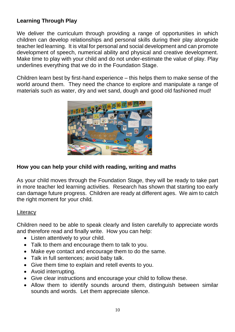# **Learning Through Play**

We deliver the curriculum through providing a range of opportunities in which children can develop relationships and personal skills during their play alongside teacher led learning. It is vital for personal and social development and can promote development of speech, numerical ability and physical and creative development. Make time to play with your child and do not under-estimate the value of play. Play underlines everything that we do in the Foundation Stage.

Children learn best by first-hand experience – this helps them to make sense of the world around them. They need the chance to explore and manipulate a range of materials such as water, dry and wet sand, dough and good old fashioned mud!



#### **How you can help your child with reading, writing and maths**

As your child moves through the Foundation Stage, they will be ready to take part in more teacher led learning activities. Research has shown that starting too early can damage future progress. Children are ready at different ages. We aim to catch the right moment for your child.

#### **Literacy**

Children need to be able to speak clearly and listen carefully to appreciate words and therefore read and finally write. How you can help:

- Listen attentively to your child.
- Talk to them and encourage them to talk to you.
- Make eye contact and encourage them to do the same.
- Talk in full sentences; avoid baby talk.
- Give them time to explain and retell events to you.
- Avoid interrupting.
- Give clear instructions and encourage your child to follow these.
- Allow them to identify sounds around them, distinguish between similar sounds and words. Let them appreciate silence.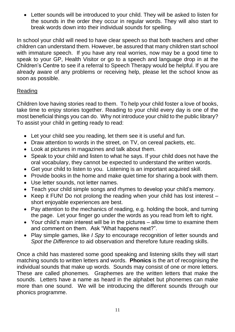• Letter sounds will be introduced to your child. They will be asked to listen for the sounds in the order they occur in regular words. They will also start to break words down into their individual sounds for spelling.

In school your child will need to have clear speech so that both teachers and other children can understand them. However, be assured that many children start school with immature speech. If you have any real worries, now may be a good time to speak to your GP, Health Visitor or go to a speech and language drop in at the Children's Centre to see if a referral to Speech Therapy would be helpful. If you are already aware of any problems or receiving help, please let the school know as soon as possible.

# Reading

Children love having stories read to them. To help your child foster a love of books, take time to enjoy stories together. Reading to your child every day is one of the most beneficial things you can do. Why not introduce your child to the public library? To assist your child in getting ready to read:

- Let your child see you reading, let them see it is useful and fun.
- Draw attention to words in the street, on TV, on cereal packets, etc.
- Look at pictures in magazines and talk about them.
- Speak to your child and listen to what he says. If your child does not have the oral vocabulary, they cannot be expected to understand the written words.
- Get your child to listen to you. Listening is an important acquired skill.
- Provide books in the home and make quiet time for sharing a book with them.
- Use letter sounds, not letter names.
- Teach your child simple songs and rhymes to develop your child's memory.
- Keep it FUN! Do not prolong the reading when your child has lost interest short enjoyable experiences are best.
- Pay attention to the mechanics of reading, e.g. holding the book, and turning the page. Let your finger go under the words as you read from left to right.
- Your child's main interest will be in the pictures allow time to examine them and comment on them. Ask "What happens next?".
- Play simple games, like *I Spy* to encourage recognition of letter sounds and *Spot the Difference* to aid observation and therefore future reading skills.

Once a child has mastered some good speaking and listening skills they will start matching sounds to written letters and words. **Phonics** is the art of recognising the individual sounds that make up words. Sounds may consist of one or more letters. These are called phonemes. Graphemes are the written letters that make the sounds. Letters have a name as heard in the alphabet but phonemes can make more than one sound. We will be introducing the different sounds through our phonics programme.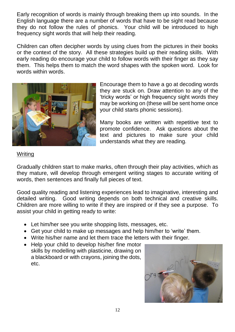Early recognition of words is mainly through breaking them up into sounds. In the English language there are a number of words that have to be sight read because they do not follow the rules of phonics. Your child will be introduced to high frequency sight words that will help their reading.

Children can often decipher words by using clues from the pictures in their books or the context of the story. All these strategies build up their reading skills. With early reading do encourage your child to follow words with their finger as they say them. This helps them to match the word shapes with the spoken word. Look for words within words.



Encourage them to have a go at decoding words they are stuck on. Draw attention to any of the 'tricky words' or high frequency sight words they may be working on (these will be sent home once your child starts phonic sessions).

Many books are written with repetitive text to promote confidence. Ask questions about the text and pictures to make sure your child understands what they are reading.

#### Writing

Gradually children start to make marks, often through their play activities, which as they mature, will develop through emergent writing stages to accurate writing of words, then sentences and finally full pieces of text.

Good quality reading and listening experiences lead to imaginative, interesting and detailed writing. Good writing depends on both technical and creative skills. Children are more willing to write if they are inspired or if they see a purpose. To assist your child in getting ready to write:

- Let him/her see you write shopping lists, messages, etc.
- Get your child to make up messages and help him/her to 'write' them.
- Write his/her name and let them trace the letters with their finger.
- Help your child to develop his/her fine motor skills by modelling with plasticine, drawing on a blackboard or with crayons, joining the dots, etc.

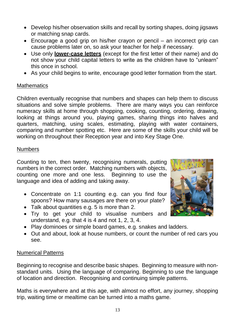- Develop his/her observation skills and recall by sorting shapes, doing jigsaws or matching snap cards.
- Encourage a good grip on his/her crayon or pencil an incorrect grip can cause problems later on, so ask your teacher for help if necessary.
- Use only **lower-case letters** (except for the first letter of their name) and do not show your child capital letters to write as the children have to "unlearn" this once in school.
- As your child begins to write, encourage good letter formation from the start.

#### **Mathematics**

Children eventually recognise that numbers and shapes can help them to discuss situations and solve simple problems. There are many ways you can reinforce numeracy skills at home through shopping, cooking, counting, ordering, drawing, looking at things around you, playing games, sharing things into halves and quarters, matching, using scales, estimating, playing with water containers, comparing and number spotting etc. Here are some of the skills your child will be working on throughout their Reception year and into Key Stage One.

#### **Numbers**

Counting to ten, then twenty, recognising numerals, putting numbers in the correct order. Matching numbers with objects, counting one more and one less. Beginning to use the language and idea of adding and taking away.

- Concentrate on 1:1 counting e.g. can you find four spoons? How many sausages are there on your plate?
- Talk about quantities e.g. 5 is more than 2.
- Try to get your child to visualise numbers and understand, e.g. that 4 is 4 and not 1, 2, 3, 4.
- Play dominoes or simple board games, e.g. snakes and ladders.
- Out and about, look at house numbers, or count the number of red cars you see.

#### Numerical Patterns

Beginning to recognise and describe basic shapes. Beginning to measure with nonstandard units. Using the language of comparing. Beginning to use the language of location and direction. Recognising and continuing simple patterns.

Maths is everywhere and at this age, with almost no effort, any journey, shopping trip, waiting time or mealtime can be turned into a maths game.

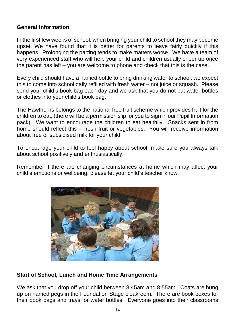# **General Information**

In the first few weeks of school, when bringing your child to school they may become upset. We have found that it is better for parents to leave fairly quickly if this happens. Prolonging the parting tends to make matters worse. We have a team of very experienced staff who will help your child and children usually cheer up once the parent has left – you are welcome to phone and check that this is the case.

Every child should have a named bottle to bring drinking water to school; we expect this to come into school daily refilled with fresh water – not juice or squash. Please send your child's book bag each day and we ask that you do not put water bottles or clothes into your child's book bag.

The Hawthorns belongs to the national free fruit scheme which provides fruit for the children to eat, (there will be a permission slip for you to sign in our Pupil Information pack). We want to encourage the children to eat healthily. Snacks sent in from home should reflect this – fresh fruit or vegetables. You will receive information about free or subsidised milk for your child.

To encourage your child to feel happy about school, make sure you always talk about school positively and enthusiastically.

Remember if there are changing circumstances at home which may affect your child's emotions or wellbeing, please let your child's teacher know.



# **Start of School, Lunch and Home Time Arrangements**

We ask that you drop off your child between 8:45am and 8:55am. Coats are hung up on named pegs in the Foundation Stage cloakroom. There are book boxes for their book bags and trays for water bottles. Everyone goes into their classrooms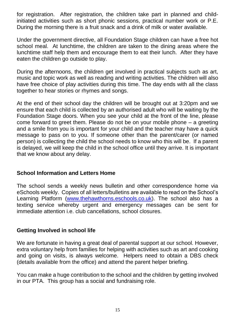for registration. After registration, the children take part in planned and childinitiated activities such as short phonic sessions, practical number work or P.E. During the morning there is a fruit snack and a drink of milk or water available.

Under the government directive, all Foundation Stage children can have a free hot school meal. At lunchtime, the children are taken to the dining areas where the lunchtime staff help them and encourage them to eat their lunch. After they have eaten the children go outside to play.

During the afternoons, the children get involved in practical subjects such as art, music and topic work as well as reading and writing activities. The children will also have free choice of play activities during this time. The day ends with all the class together to hear stories or rhymes and songs.

At the end of their school day the children will be brought out at 3:20pm and we ensure that each child is collected by an authorised adult who will be waiting by the Foundation Stage doors. When you see your child at the front of the line, please come forward to greet them. Please do not be on your mobile phone – a greeting and a smile from you is important for your child and the teacher may have a quick message to pass on to you. If someone other than the parent/carer (or named person) is collecting the child the school needs to know who this will be. If a parent is delayed, we will keep the child in the school office until they arrive. It is important that we know about any delay.

# **School Information and Letters Home**

The school sends a weekly news bulletin and other correspondence home via eSchools weekly. Copies of all letters/bulletins are available to read on the School's Learning Platform [\(www.thehawthorns.eschools.co.uk\)](http://www.thehawthorns.eschools.co.uk/). The school also has a texting service whereby urgent and emergency messages can be sent for immediate attention i.e. club cancellations, school closures.

# **Getting Involved in school life**

We are fortunate in having a great deal of parental support at our school. However, extra voluntary help from families for helping with activities such as art and cooking and going on visits, is always welcome. Helpers need to obtain a DBS check (details available from the office) and attend the parent helper briefing.

You can make a huge contribution to the school and the children by getting involved in our PTA. This group has a social and fundraising role.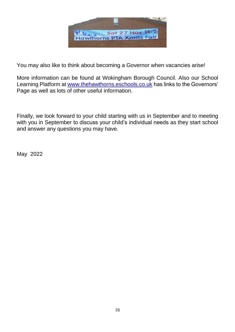

You may also like to think about becoming a Governor when vacancies arise!

More information can be found at Wokingham Borough Council. Also our School Learning Platform at [www.thehawthorns.eschools.co.uk](http://www.thehawthorns.eschools.co.uk/) has links to the Governors' Page as well as lots of other useful information.

Finally, we look forward to your child starting with us in September and to meeting with you in September to discuss your child's individual needs as they start school and answer any questions you may have.

May 2022